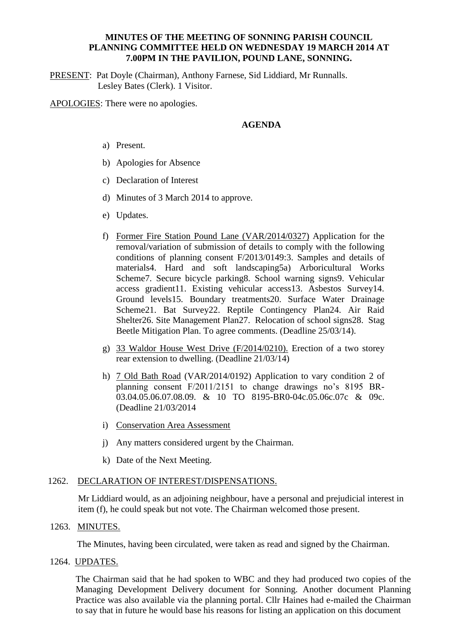## **MINUTES OF THE MEETING OF SONNING PARISH COUNCIL PLANNING COMMITTEE HELD ON WEDNESDAY 19 MARCH 2014 AT 7.00PM IN THE PAVILION, POUND LANE, SONNING.**

PRESENT: Pat Doyle (Chairman), Anthony Farnese, Sid Liddiard, Mr Runnalls. Lesley Bates (Clerk). 1 Visitor.

APOLOGIES: There were no apologies.

# **AGENDA**

- a) Present.
- b) Apologies for Absence
- c) Declaration of Interest
- d) Minutes of 3 March 2014 to approve.
- e) Updates.
- f) Former Fire Station Pound Lane (VAR/2014/0327) Application for the removal/variation of submission of details to comply with the following conditions of planning consent F/2013/0149:3. Samples and details of materials4. Hard and soft landscaping5a) Arboricultural Works Scheme7. Secure bicycle parking8. School warning signs9. Vehicular access gradient11. Existing vehicular access13. Asbestos Survey14. Ground levels15. Boundary treatments20. Surface Water Drainage Scheme21. Bat Survey22. Reptile Contingency Plan24. Air Raid Shelter26. Site Management Plan27. Relocation of school signs28. Stag Beetle Mitigation Plan. To agree comments. (Deadline 25/03/14).
- g) 33 Waldor House West Drive (F/2014/0210). Erection of a two storey rear extension to dwelling. (Deadline 21/03/14)
- h) 7 Old Bath Road (VAR/2014/0192) Application to vary condition 2 of planning consent F/2011/2151 to change drawings no's 8195 BR-03.04.05.06.07.08.09. & 10 TO 8195-BR0-04c.05.06c.07c & 09c. (Deadline 21/03/2014
- i) Conservation Area Assessment
- j) Any matters considered urgent by the Chairman.
- k) Date of the Next Meeting.

# 1262. DECLARATION OF INTEREST/DISPENSATIONS.

Mr Liddiard would, as an adjoining neighbour, have a personal and prejudicial interest in item (f), he could speak but not vote. The Chairman welcomed those present.

#### 1263. MINUTES.

The Minutes, having been circulated, were taken as read and signed by the Chairman.

# 1264. UPDATES.

The Chairman said that he had spoken to WBC and they had produced two copies of the Managing Development Delivery document for Sonning. Another document Planning Practice was also available via the planning portal. Cllr Haines had e-mailed the Chairman to say that in future he would base his reasons for listing an application on this document